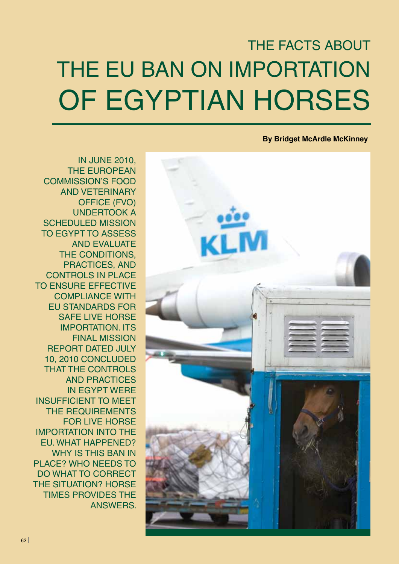# THE EU BAN ON IMPORTATION OF EGYPTIAN HORSES THE FACTS ABOUT

# **By Bridget McArdle McKinney**



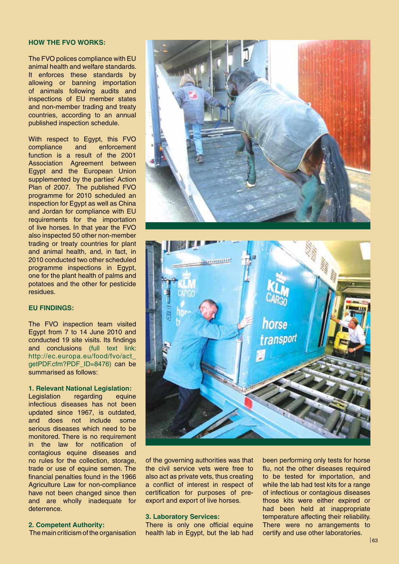#### **HOW THE FVO WORKS:**

The FVO polices compliance with EU animal health and welfare standards. It enforces these standards by allowing or banning importation of animals following audits and inspections of EU member states and non-member trading and treaty countries, according to an annual published inspection schedule.

With respect to Egypt, this FVO compliance and enforcement function is a result of the 2001 Association Agreement between Egypt and the European Union supplemented by the parties' Action Plan of 2007. The published FVO programme for 2010 scheduled an inspection for Egypt as well as China and Jordan for compliance with EU requirements for the importation of live horses. In that year the FVO also inspected 50 other non-member trading or treaty countries for plant and animal health, and, in fact, in 2010 conducted two other scheduled programme inspections in Egypt, one for the plant health of palms and potatoes and the other for pesticide residues.

## **EU FINDINGS:**

The FVO inspection team visited Egypt from 7 to 14 June 2010 and conducted 19 site visits. Its findings and conclusions (full text link: http://ec.europa.eu/food/fvo/act\_ getPDF.cfm?PDF\_ID=8476) can be summarised as follows:

#### **1. Relevant National Legislation:**

Legislation regarding equine infectious diseases has not been updated since 1967, is outdated, and does not include some serious diseases which need to be monitored. There is no requirement in the law for notification of contagious equine diseases and no rules for the collection, storage, trade or use of equine semen. The financial penalties found in the 1966 Agriculture Law for non-compliance have not been changed since then and are wholly inadequate for deterrence.

#### **2. Competent Authority:**

The main criticism of the organisation





of the governing authorities was that the civil service vets were free to also act as private vets, thus creating a conflict of interest in respect of certification for purposes of preexport and export of live horses.

## **3. Laboratory Services:**

There is only one official equine health lab in Egypt, but the lab had been performing only tests for horse flu, not the other diseases required to be tested for importation, and while the lab had test kits for a range of infectious or contagious diseases those kits were either expired or had been held at inappropriate temperature affecting their reliability. There were no arrangements to certify and use other laboratories.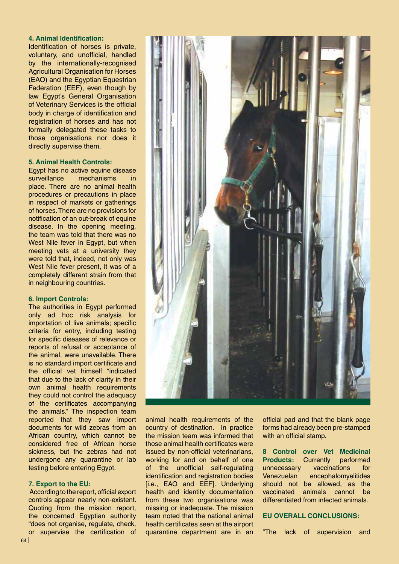## **4. Animal Identification:**

Identification of horses is private, voluntary, and unofficial, handled by the internationally-recognised Agricultural Organisation for Horses (EAO) and the Egyptian Equestrian Federation (EEF), even though by law Egypt's General Organisation of Veterinary Services is the official body in charge of identification and registration of horses and has not formally delegated these tasks to those organisations nor does it directly supervise them.

#### **5. Animal Health Controls:**

Egypt has no active equine disease surveillance mechanisms in place. There are no animal health procedures or precautions in place in respect of markets or gatherings of horses. There are no provisions for notification of an out-break of equine disease. In the opening meeting, the team was told that there was no West Nile fever in Egypt, but when meeting vets at a university they were told that, indeed, not only was West Nile fever present, it was of a completely different strain from that in neighbouring countries.

#### **6. Import Controls:**

The authorities in Egypt performed only ad hoc risk analysis for importation of live animals; specific criteria for entry, including testing for specific diseases of relevance or reports of refusal or acceptance of the animal, were unavailable. There is no standard import certificate and the official vet himself "indicated that due to the lack of clarity in their own animal health requirements they could not control the adequacy of the certificates accompanying the animals." The inspection team reported that they saw import documents for wild zebras from an African country, which cannot be considered free of African horse sickness, but the zebras had not undergone any quarantine or lab testing before entering Egypt.

#### **7. Export to the EU:**

 According to the report, official export controls appear nearly non-existent. Quoting from the mission report, the concerned Egyptian authority "does not organise, regulate, check, or supervise the certification of



animal health requirements of the country of destination. In practice the mission team was informed that those animal health certificates were issued by non-official veterinarians. working for and on behalf of one of the unofficial self-regulating identification and registration bodies [i.e., EAO and EEF]. Underlying health and identity documentation from these two organisations was missing or inadequate. The mission team noted that the national animal health certificates seen at the airport quarantine department are in an official pad and that the blank page forms had already been pre-stamped with an official stamp.

**8 Control over Vet Medicinal**  performed unnecessary vaccinations for Venezuelan encephalomyelitides should not be allowed, as the vaccinated animals cannot be differentiated from infected animals.

## **EU OVERALL CONCLUSIONS:**

"The lack of supervision and